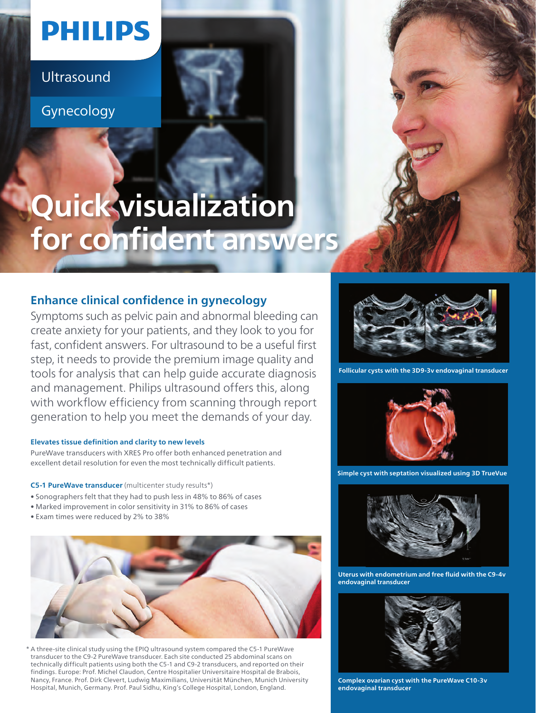# **PHILIPS**

Ultrasound

Gynecology

# **Quick visualization for confident answers**

## **Enhance clinical confidence in gynecology**

Symptoms such as pelvic pain and abnormal bleeding can create anxiety for your patients, and they look to you for fast, confident answers. For ultrasound to be a useful first step, it needs to provide the premium image quality and tools for analysis that can help guide accurate diagnosis and management. Philips ultrasound offers this, along with workflow efficiency from scanning through report generation to help you meet the demands of your day.

#### **Elevates tissue definition and clarity to new levels**

PureWave transducers with XRES Pro offer both enhanced penetration and excellent detail resolution for even the most technically difficult patients.

**C5-1 PureWave transducer** (multicenter study results\*)

- Sonographers felt that they had to push less in 48% to 86% of cases
- Marked improvement in color sensitivity in 31% to 86% of cases
- Exam times were reduced by 2% to 38%



\* A three-site clinical study using the EPIQ ultrasound system compared the C5-1 PureWave transducer to the C9-2 PureWave transducer. Each site conducted 25 abdominal scans on technically difficult patients using both the C5-1 and C9-2 transducers, and reported on their findings. Europe: Prof. Michel Claudon, Centre Hospitalier Universitaire Hospital de Brabois, Nancy, France. Prof. Dirk Clevert, Ludwig Maximilians, Universität München, Munich University Hospital, Munich, Germany. Prof. Paul Sidhu, King's College Hospital, London, England.



**Follicular cysts with the 3D9-3v endovaginal transducer**



**Simple cyst with septation visualized using 3D TrueVue**



**Uterus with endometrium and free fluid with the C9-4v endovaginal transducer**



**Complex ovarian cyst with the PureWave C10-3v endovaginal transducer**